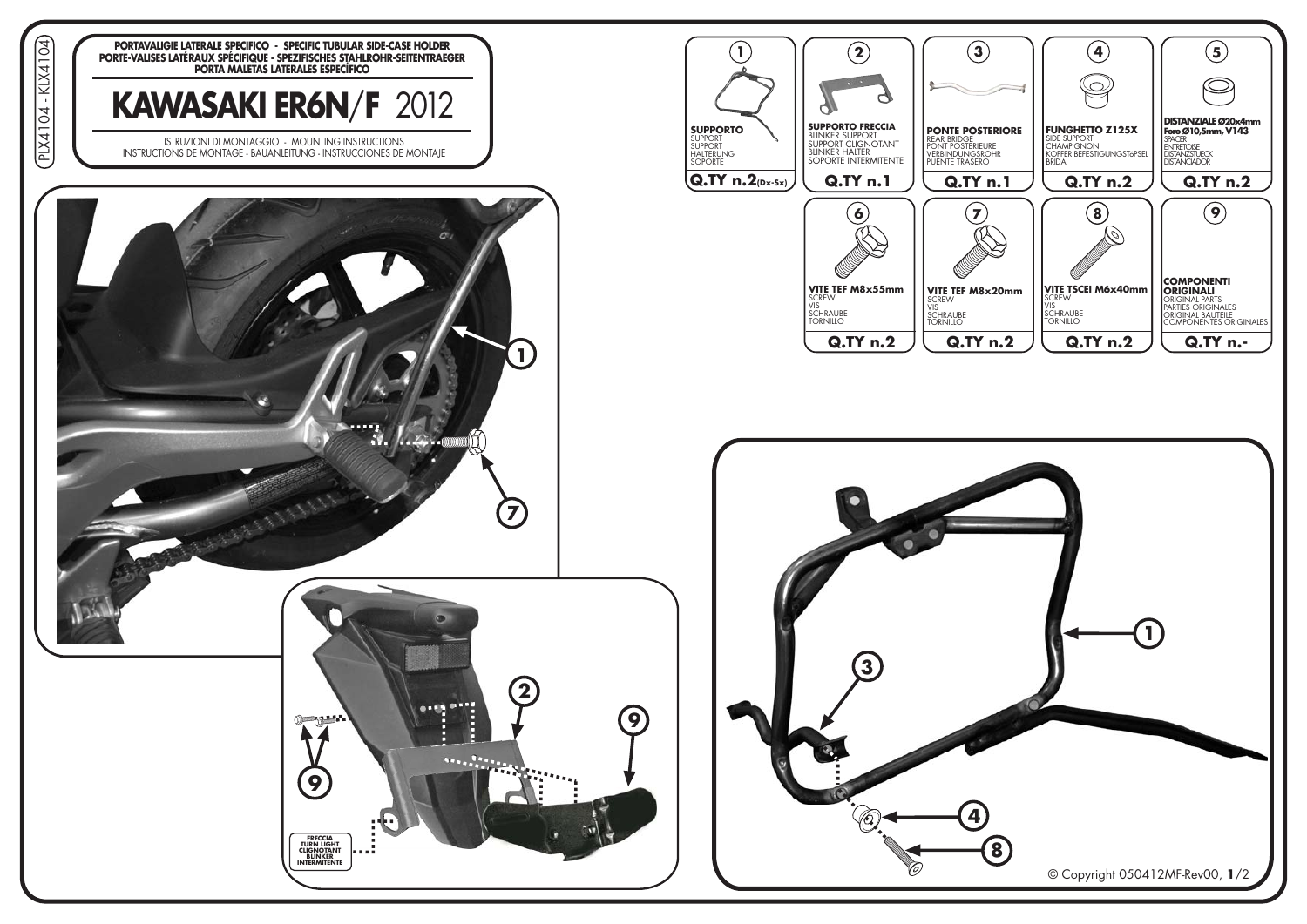